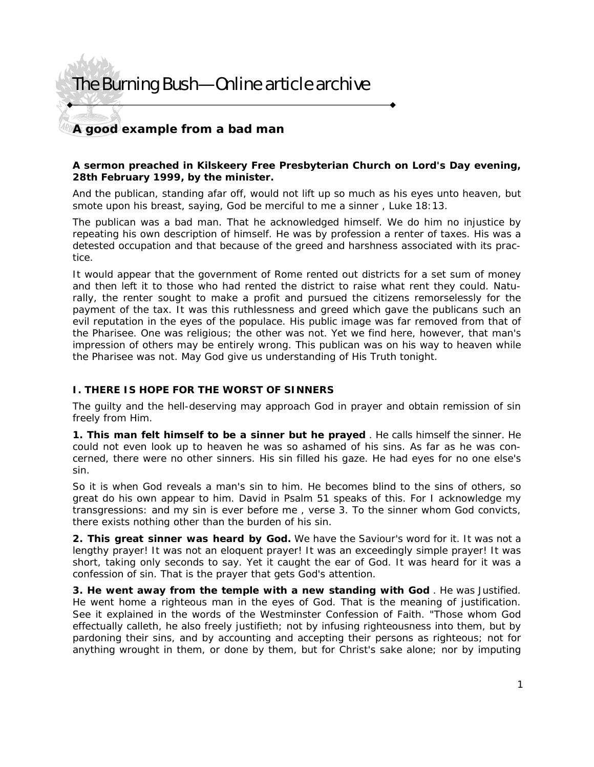# The Burning Bush—Online article archive

### **A good example from a bad man**

#### *A sermon preached in Kilskeery Free Presbyterian Church on Lord's Day evening, 28th February 1999, by the minister.*

A*nd the publican, standing afar off, would not lift up so much as his eyes unto heaven, but smote upon his breast, saying, God be merciful to me a sinner* , Luke 18:13.

The publican was a bad man. That he acknowledged himself. We do him no injustice by repeating his own description of himself. He was by profession a renter of taxes. His was a detested occupation and that because of the greed and harshness associated with its practice.

It would appear that the government of Rome rented out districts for a set sum of money and then left it to those who had rented the district to raise what rent they could. Naturally, the renter sought to make a profit and pursued the citizens remorselessly for the payment of the tax. It was this ruthlessness and greed which gave the publicans such an evil reputation in the eyes of the populace. His public image was far removed from that of the Pharisee. One was religious; the other was not. Yet we find here, however, that man's impression of others may be entirely wrong. This publican was on his way to heaven while the Pharisee was not. May God give us understanding of His Truth tonight.

### **I. THERE IS HOPE FOR THE WORST OF SINNERS**

The guilty and the hell-deserving may approach God in prayer and obtain remission of sin freely from Him.

**1. This man felt himself to be a sinner but he prayed** . He calls himself the sinner. He could not even look up to heaven he was so ashamed of his sins. As far as he was concerned, there were no other sinners. His sin filled his gaze. He had eyes for no one else's sin.

So it is when God reveals a man's sin to him. He becomes blind to the sins of others, so great do his own appear to him. David in Psalm 51 speaks of this. *For I acknowledge my transgressions: and my sin is ever before me* , verse 3. To the sinner whom God convicts, there exists nothing other than the burden of his sin.

**2. This great sinner was heard by God.** We have the Saviour's word for it. It was not a lengthy prayer! It was not an eloquent prayer! It was an exceedingly simple prayer! It was short, taking only seconds to say. Yet it caught the ear of God. It was heard for it was a confession of sin. That is the prayer that gets God's attention.

**3. He went away from the temple with a new standing with God** . He was Justified. He went home a righteous man in the eyes of God. That is the meaning of justification. See it explained in the words of the Westminster Confession of Faith. "Those whom God effectually calleth, he also freely justifieth; not by infusing righteousness into them, but by pardoning their sins, and by accounting and accepting their persons as righteous; not for anything wrought in them, or done by them, but for Christ's sake alone; nor by imputing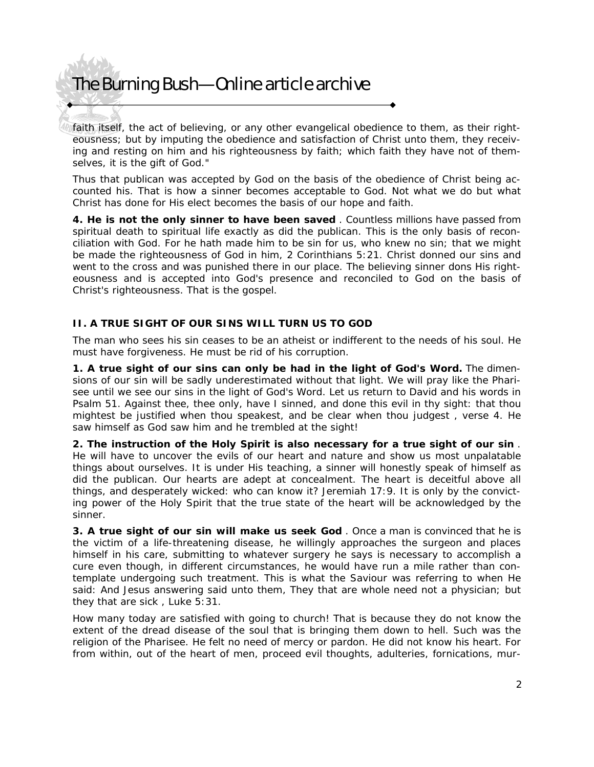# The Burning Bush—Online article archive

faith itself, the act of believing, or any other evangelical obedience to them, as their righteousness; but by imputing the obedience and satisfaction of Christ unto them, they receiving and resting on him and his righteousness by faith; which faith they have not of themselves, it is the gift of God."

Thus that publican was accepted by God on the basis of the obedience of Christ being accounted his. That is how a sinner becomes acceptable to God. Not what we do but what Christ has done for His elect becomes the basis of our hope and faith.

**4. He is not the only sinner to have been saved** . Countless millions have passed from spiritual death to spiritual life exactly as did the publican. This is the only basis of reconciliation with God. For he hath made him to be sin for us, who knew no sin; that we might be made the righteousness of God in him, 2 Corinthians 5:21. Christ donned our sins and went to the cross and was punished there in our place. The believing sinner dons His righteousness and is accepted into God's presence and reconciled to God on the basis of Christ's righteousness. That is the gospel.

### **II. A TRUE SIGHT OF OUR SINS WILL TURN US TO GOD**

The man who sees his sin ceases to be an atheist or indifferent to the needs of his soul. He must have forgiveness. He must be rid of his corruption.

**1. A true sight of our sins can only be had in the light of God's Word.** The dimensions of our sin will be sadly underestimated without that light. We will pray like the Pharisee until we see our sins in the light of God's Word. Let us return to David and his words in Psalm 51. *Against thee, thee only, have I sinned, and done this evil in thy sight: that thou mightest be justified when thou speakest, and be clear when thou judgest* , verse 4. He saw himself as God saw him and he trembled at the sight!

**2. The instruction of the Holy Spirit is also necessary for a true sight of our sin** . He will have to uncover the evils of our heart and nature and show us most unpalatable things about ourselves. It is under His teaching, a sinner will honestly speak of himself as did the publican. Our hearts are adept at concealment. *The heart is deceitful above all things, and desperately wicked: who can know it?* Jeremiah 17:9. It is only by the convicting power of the Holy Spirit that the true state of the heart will be acknowledged by the sinner.

**3. A true sight of our sin will make us seek God** . Once a man is convinced that he is the victim of a life-threatening disease, he willingly approaches the surgeon and places himself in his care, submitting to whatever surgery he says is necessary to accomplish a cure even though, in different circumstances, he would have run a mile rather than contemplate undergoing such treatment. This is what the Saviour was referring to when He said: *And Jesus answering said unto them, They that are whole need not a physician; but they that are sick* , Luke 5:31.

How many today are satisfied with going to church! That is because they do not know the extent of the dread disease of the soul that is bringing them down to hell. Such was the religion of the Pharisee. He felt no need of mercy or pardon. He did not know his heart. *For from within, out of the heart of men, proceed evil thoughts, adulteries, fornications, mur-*